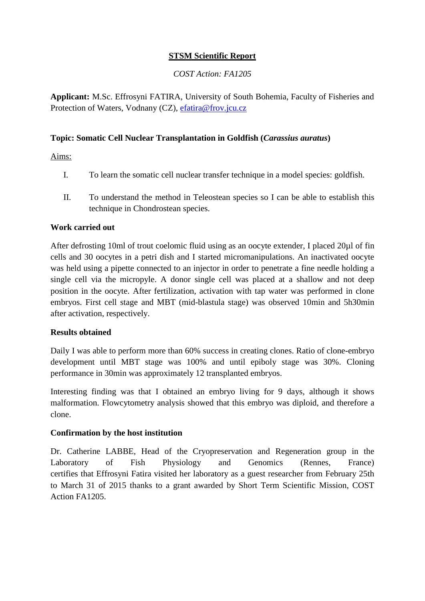## **STSM Scientific Report**

### *COST Action: FA1205*

**Applicant:** M.Sc. Effrosyni FATIRA, University of South Bohemia, Faculty of Fisheries and Protection of Waters, Vodnany (CZ), [efatira@frov.jcu.cz](mailto:efatira@frov.jcu.cz)

### **Topic: Somatic Cell Nuclear Transplantation in Goldfish (***Carassius auratus***)**

Aims:

- I. To learn the somatic cell nuclear transfer technique in a model species: goldfish.
- II. To understand the method in Teleostean species so I can be able to establish this technique in Chondrostean species.

#### **Work carried out**

After defrosting 10ml of trout coelomic fluid using as an oocyte extender, I placed 20µl of fin cells and 30 oocytes in a petri dish and I started micromanipulations. An inactivated oocyte was held using a pipette connected to an injector in order to penetrate a fine needle holding a single cell via the micropyle. A donor single cell was placed at a shallow and not deep position in the oocyte. After fertilization, activation with tap water was performed in clone embryos. First cell stage and MBT (mid-blastula stage) was observed 10min and 5h30min after activation, respectively.

#### **Results obtained**

Daily I was able to perform more than 60% success in creating clones. Ratio of clone-embryo development until MBT stage was 100% and until epiboly stage was 30%. Cloning performance in 30min was approximately 12 transplanted embryos.

Interesting finding was that I obtained an embryo living for 9 days, although it shows malformation. Flowcytometry analysis showed that this embryo was diploid, and therefore a clone.

# **Confirmation by the host institution**

Dr. Catherine LABBE, Head of the Cryopreservation and Regeneration group in the Laboratory of Fish Physiology and Genomics (Rennes, France) certifies that Effrosyni Fatira visited her laboratory as a guest researcher from February 25th to March 31 of 2015 thanks to a grant awarded by Short Term Scientific Mission, COST Action FA1205.